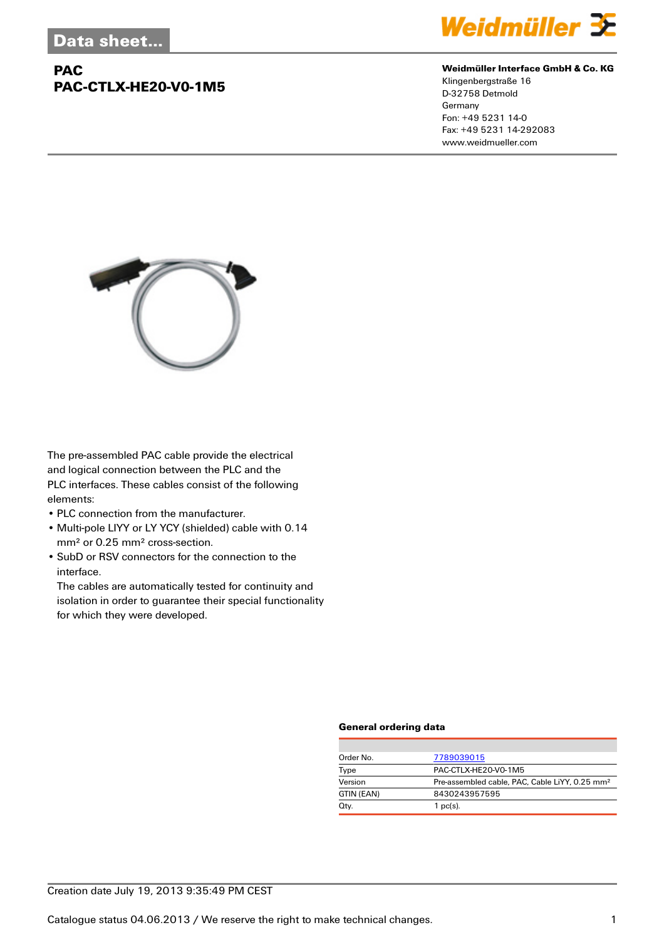## **PAC PAC-CTLX-HE20-V0-1M5**



### **Weidmüller Interface GmbH & Co. KG**

Klingenbergstraße 16 D-32758 Detmold Germany Fon: +49 5231 14-0 Fax: +49 5231 14-292083 www.weidmueller.com



The pre-assembled PAC cable provide the electrical and logical connection between the PLC and the PLC interfaces. These cables consist of the following elements:

- PLC connection from the manufacturer.
- Multi-pole LIYY or LY YCY (shielded) cable with 0.14 mm² or 0.25 mm² cross-section.
- SubD or RSV connectors for the connection to the interface.

The cables are automatically tested for continuity and isolation in order to guarantee their special functionality for which they were developed.

### **General ordering data**

| Order No.  | 7789039015                                                 |
|------------|------------------------------------------------------------|
| Type       | PAC-CTLX-HE20-V0-1M5                                       |
| Version    | Pre-assembled cable, PAC, Cable LiYY, 0.25 mm <sup>2</sup> |
| GTIN (EAN) | 8430243957595                                              |
| Qty.       | $1$ pc(s).                                                 |